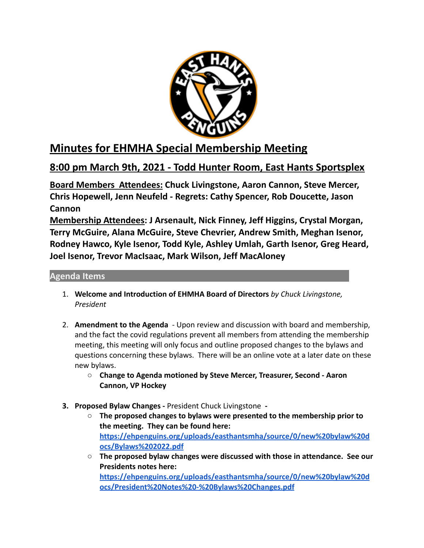

## **Minutes for EHMHA Special Membership Meeting**

## **8:00 pm March 9th, 2021 - Todd Hunter Room, East Hants Sportsplex**

**Board Members Attendees: Chuck Livingstone, Aaron Cannon, Steve Mercer, Chris Hopewell, Jenn Neufeld - Regrets: Cathy Spencer, Rob Doucette, Jason Cannon**

**Membership Attendees: J Arsenault, Nick Finney, Jeff Higgins, Crystal Morgan, Terry McGuire, Alana McGuire, Steve Chevrier, Andrew Smith, Meghan Isenor, Rodney Hawco, Kyle Isenor, Todd Kyle, Ashley Umlah, Garth Isenor, Greg Heard, Joel Isenor, Trevor MacIsaac, Mark Wilson, Jeff MacAloney**

## **Agenda Items**

- 1. **Welcome and Introduction of EHMHA Board of Directors** *by Chuck Livingstone, President*
- 2. **Amendment to the Agenda** Upon review and discussion with board and membership, and the fact the covid regulations prevent all members from attending the membership meeting, this meeting will only focus and outline proposed changes to the bylaws and questions concerning these bylaws. There will be an online vote at a later date on these new bylaws.
	- **Change to Agenda motioned by Steve Mercer, Treasurer, Second Aaron Cannon, VP Hockey**
- **3. Proposed Bylaw Changes -** President Chuck Livingstone **-**
	- **○ The proposed changes to bylaws were presented to the membership prior to the meeting. They can be found here: [https://ehpenguins.org/uploads/easthantsmha/source/0/new%20bylaw%20d](https://ehpenguins.org/uploads/easthantsmha/source/0/new%20bylaw%20docs/Bylaws%202022.pdf) [ocs/Bylaws%202022.pdf](https://ehpenguins.org/uploads/easthantsmha/source/0/new%20bylaw%20docs/Bylaws%202022.pdf)**
	- **○ The proposed bylaw changes were discussed with those in attendance. See our Presidents notes here: [https://ehpenguins.org/uploads/easthantsmha/source/0/new%20bylaw%20d](https://ehpenguins.org/uploads/easthantsmha/source/0/new%20bylaw%20docs/President%20Notes%20-%20Bylaws%20Changes.pdf) [ocs/President%20Notes%20-%20Bylaws%20Changes.pdf](https://ehpenguins.org/uploads/easthantsmha/source/0/new%20bylaw%20docs/President%20Notes%20-%20Bylaws%20Changes.pdf)**